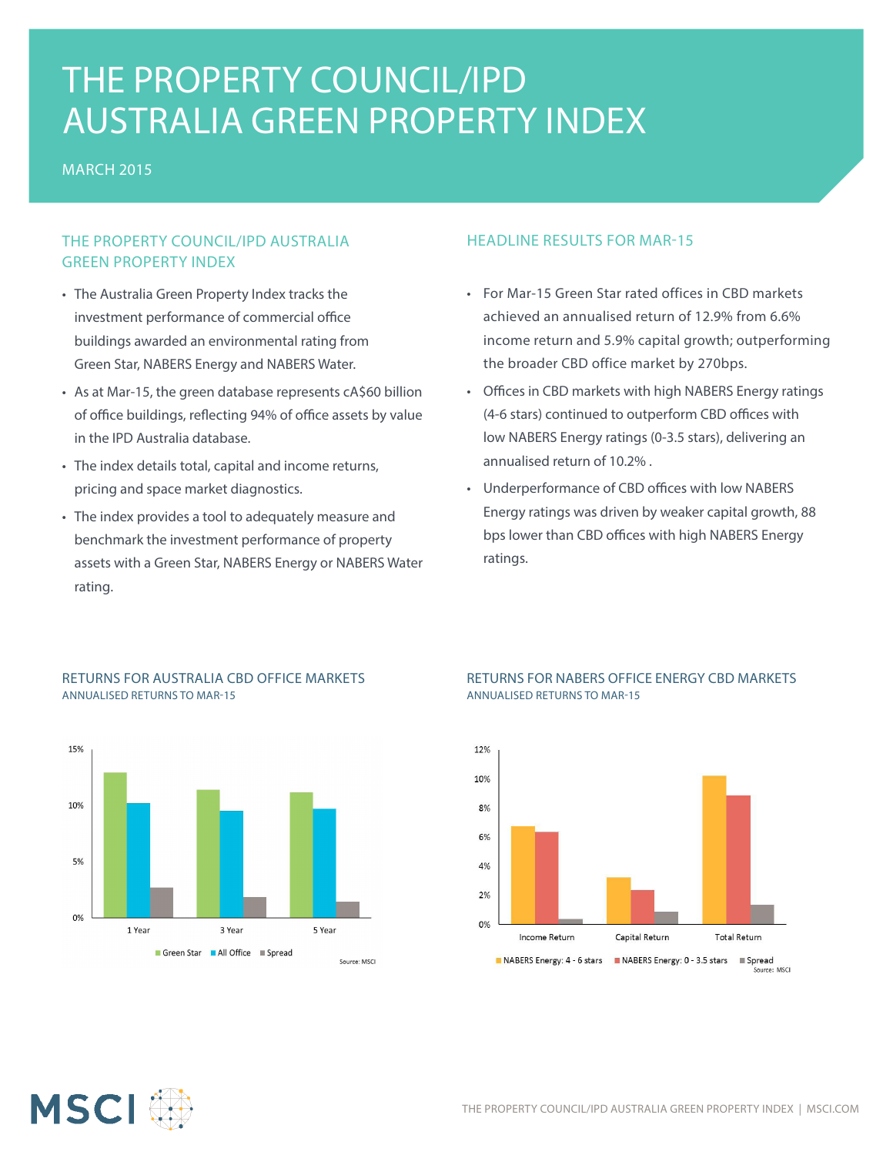# THE PROPERTY COUNCIL/IPD AUSTRALIA GREEN PROPERTY INDEX

MARCH 2015

# THE PROPERTY COUNCIL/IPD AUSTRALIA GREEN PROPERTY INDEX

- The Australia Green Property Index tracks the investment performance of commercial office buildings awarded an environmental rating from Green Star, NABERS Energy and NABERS Water.
- • As at Mar-15, the green database represents cA\$60 billion of office buildings, reflecting 94% of office assets by value in the IPD Australia database.
- The index details total, capital and income returns, pricing and space market diagnostics.
- The index provides a tool to adequately measure and benchmark the investment performance of property assets with a Green Star, NABERS Energy or NABERS Water rating.

# HEADLINE RESULTS FOR MAR-15

- For Mar-15 Green Star rated offices in CBD markets achieved an annualised return of 12.9% from 6.6% income return and 5.9% capital growth; outperforming the broader CBD office market by 270bps.
- • Offices in CBD markets with high NABERS Energy ratings (4-6 stars) continued to outperform CBD offices with low NABERS Energy ratings (0-3.5 stars), delivering an annualised return of 10.2% .
- • Underperformance of CBD offices with low NABERS Energy ratings was driven by weaker capital growth, 88 bps lower than CBD offices with high NABERS Energy ratings.

#### RETURNS FOR AUSTRALIA CBD OFFICE MARKETS ANNUALISED RETURNS TO MAR-15



### RETURNS FOR NABERS OFFICE ENERGY CBD MARKETS ANNUALISED RETURNS TO MAR-15